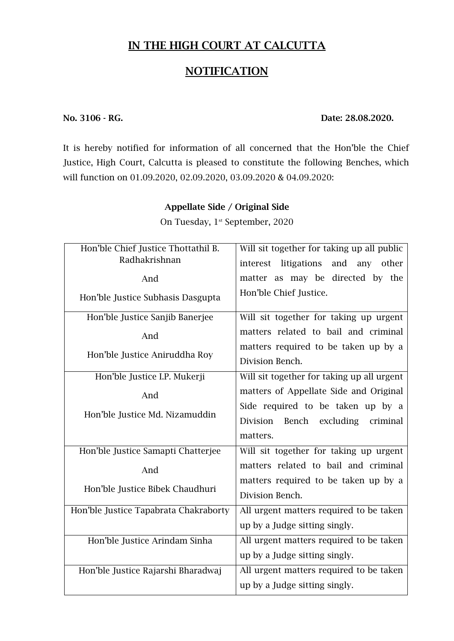## **IN THE HIGH COURT AT CALCUTTA**

## **NOTIFICATION**

### **No. 3106 - RG. Date: 28.08.2020.**

It is hereby notified for information of all concerned that the Hon'ble the Chief Justice, High Court, Calcutta is pleased to constitute the following Benches, which will function on 01.09.2020, 02.09.2020, 03.09.2020 & 04.09.2020:

## **Appellate Side / Original Side**

On Tuesday, 1<sup>st</sup> September, 2020

| Hon'ble Chief Justice Thottathil B.   | Will sit together for taking up all public  |
|---------------------------------------|---------------------------------------------|
| Radhakrishnan                         | litigations<br>and<br>any other<br>interest |
| And                                   | matter as may be directed by the            |
| Hon'ble Justice Subhasis Dasgupta     | Hon'ble Chief Justice.                      |
| Hon'ble Justice Sanjib Banerjee       | Will sit together for taking up urgent      |
| And                                   | matters related to bail and criminal        |
| Hon'ble Justice Aniruddha Roy         | matters required to be taken up by a        |
|                                       | Division Bench.                             |
| Hon'ble Justice I.P. Mukerji          | Will sit together for taking up all urgent  |
| And                                   | matters of Appellate Side and Original      |
|                                       | Side required to be taken up by a           |
| Hon'ble Justice Md. Nizamuddin        | Division<br>Bench<br>excluding<br>criminal  |
|                                       | matters.                                    |
| Hon'ble Justice Samapti Chatterjee    | Will sit together for taking up urgent      |
| And                                   | matters related to bail and criminal        |
| Hon'ble Justice Bibek Chaudhuri       | matters required to be taken up by a        |
|                                       | Division Bench.                             |
| Hon'ble Justice Tapabrata Chakraborty | All urgent matters required to be taken     |
|                                       | up by a Judge sitting singly.               |
| Hon'ble Justice Arindam Sinha         | All urgent matters required to be taken     |
|                                       | up by a Judge sitting singly.               |
| Hon'ble Justice Rajarshi Bharadwaj    | All urgent matters required to be taken     |
|                                       | up by a Judge sitting singly.               |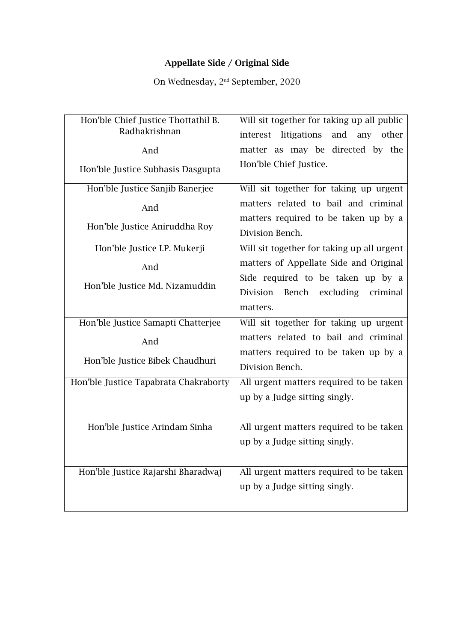## **Appellate Side / Original Side**

On Wednesday, 2 nd September, 2020

| Hon'ble Chief Justice Thottathil B.   | Will sit together for taking up all public              |
|---------------------------------------|---------------------------------------------------------|
| Radhakrishnan                         | interest litigations<br>and any other                   |
| And                                   | matter as may be directed by the                        |
| Hon'ble Justice Subhasis Dasgupta     | Hon'ble Chief Justice.                                  |
| Hon'ble Justice Sanjib Banerjee       | Will sit together for taking up urgent                  |
| And                                   | matters related to bail and criminal                    |
| Hon'ble Justice Aniruddha Roy         | matters required to be taken up by a<br>Division Bench. |
| Hon'ble Justice I.P. Mukerji          | Will sit together for taking up all urgent              |
| And                                   | matters of Appellate Side and Original                  |
|                                       | Side required to be taken up by a                       |
| Hon'ble Justice Md. Nizamuddin        | Division Bench<br>excluding<br>criminal                 |
|                                       | matters.                                                |
| Hon'ble Justice Samapti Chatterjee    | Will sit together for taking up urgent                  |
| And                                   | matters related to bail and criminal                    |
|                                       | matters required to be taken up by a                    |
| Hon'ble Justice Bibek Chaudhuri       | Division Bench.                                         |
| Hon'ble Justice Tapabrata Chakraborty | All urgent matters required to be taken                 |
|                                       | up by a Judge sitting singly.                           |
|                                       |                                                         |
| Hon'ble Justice Arindam Sinha         | All urgent matters required to be taken                 |
|                                       | up by a Judge sitting singly.                           |
|                                       |                                                         |
| Hon'ble Justice Rajarshi Bharadwaj    | All urgent matters required to be taken                 |
|                                       | up by a Judge sitting singly.                           |
|                                       |                                                         |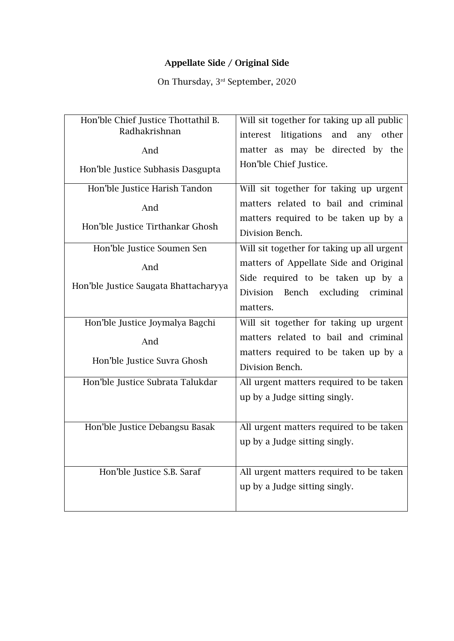## **Appellate Side / Original Side**

On Thursday, 3 rd September, 2020

| Hon'ble Chief Justice Thottathil B.   | Will sit together for taking up all public  |
|---------------------------------------|---------------------------------------------|
| Radhakrishnan                         | litigations<br>and<br>interest<br>any other |
| And                                   | matter as may be directed by the            |
| Hon'ble Justice Subhasis Dasgupta     | Hon'ble Chief Justice.                      |
| Hon'ble Justice Harish Tandon         | Will sit together for taking up urgent      |
| And                                   | matters related to bail and criminal        |
| Hon'ble Justice Tirthankar Ghosh      | matters required to be taken up by a        |
|                                       | Division Bench.                             |
| Hon'ble Justice Soumen Sen            | Will sit together for taking up all urgent  |
| And                                   | matters of Appellate Side and Original      |
|                                       | Side required to be taken up by a           |
| Hon'ble Justice Saugata Bhattacharyya | Division<br>Bench<br>excluding<br>criminal  |
|                                       | matters.                                    |
| Hon'ble Justice Joymalya Bagchi       | Will sit together for taking up urgent      |
| And                                   | matters related to bail and criminal        |
| Hon'ble Justice Suvra Ghosh           | matters required to be taken up by a        |
|                                       | Division Bench.                             |
| Hon'ble Justice Subrata Talukdar      | All urgent matters required to be taken     |
|                                       | up by a Judge sitting singly.               |
|                                       |                                             |
| Hon'ble Justice Debangsu Basak        | All urgent matters required to be taken     |
|                                       | up by a Judge sitting singly.               |
|                                       |                                             |
| Hon'ble Justice S.B. Saraf            | All urgent matters required to be taken     |
|                                       | up by a Judge sitting singly.               |
|                                       |                                             |